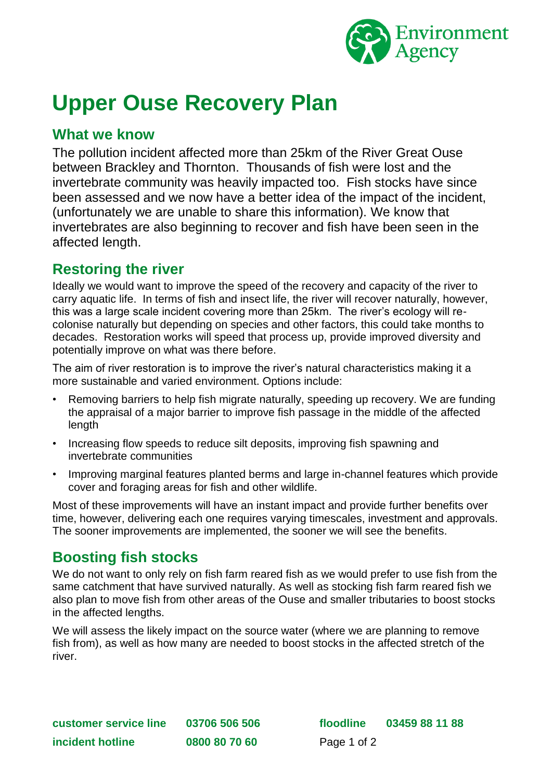

# **Upper Ouse Recovery Plan**

#### **What we know**

The pollution incident affected more than 25km of the River Great Ouse between Brackley and Thornton. Thousands of fish were lost and the invertebrate community was heavily impacted too. Fish stocks have since been assessed and we now have a better idea of the impact of the incident, (unfortunately we are unable to share this information). We know that invertebrates are also beginning to recover and fish have been seen in the affected length.

### **Restoring the river**

Ideally we would want to improve the speed of the recovery and capacity of the river to carry aquatic life. In terms of fish and insect life, the river will recover naturally, however, this was a large scale incident covering more than 25km. The river's ecology will recolonise naturally but depending on species and other factors, this could take months to decades. Restoration works will speed that process up, provide improved diversity and potentially improve on what was there before.

The aim of river restoration is to improve the river's natural characteristics making it a more sustainable and varied environment. Options include:

- Removing barriers to help fish migrate naturally, speeding up recovery. We are funding the appraisal of a major barrier to improve fish passage in the middle of the affected length
- Increasing flow speeds to reduce silt deposits, improving fish spawning and invertebrate communities
- Improving marginal features planted berms and large in-channel features which provide cover and foraging areas for fish and other wildlife.

Most of these improvements will have an instant impact and provide further benefits over time, however, delivering each one requires varying timescales, investment and approvals. The sooner improvements are implemented, the sooner we will see the benefits.

## **Boosting fish stocks**

We do not want to only rely on fish farm reared fish as we would prefer to use fish from the same catchment that have survived naturally. As well as stocking fish farm reared fish we also plan to move fish from other areas of the Ouse and smaller tributaries to boost stocks in the affected lengths.

We will assess the likely impact on the source water (where we are planning to remove fish from), as well as how many are needed to boost stocks in the affected stretch of the river.